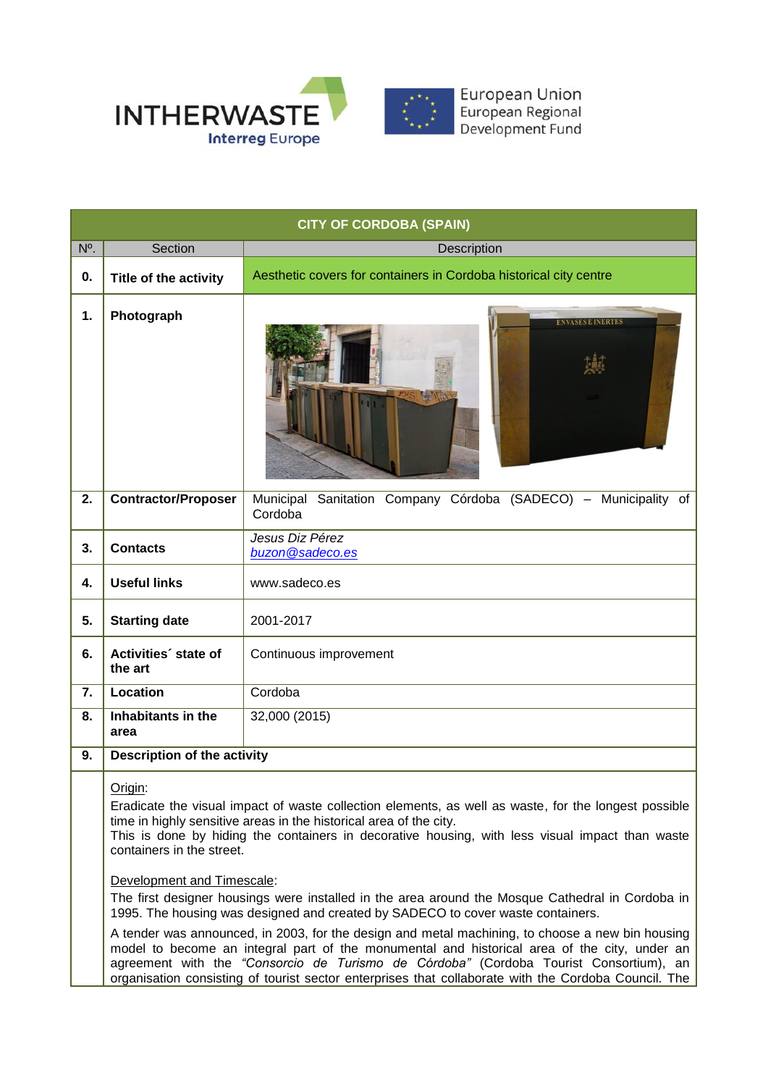

|                  | <b>CITY OF CORDOBA (SPAIN)</b>                                     |                                                                                                                                                                                                                                                                                                                                                                                                                                                                                                                                                                                                                                                                                                                                                                                                                                                                           |  |
|------------------|--------------------------------------------------------------------|---------------------------------------------------------------------------------------------------------------------------------------------------------------------------------------------------------------------------------------------------------------------------------------------------------------------------------------------------------------------------------------------------------------------------------------------------------------------------------------------------------------------------------------------------------------------------------------------------------------------------------------------------------------------------------------------------------------------------------------------------------------------------------------------------------------------------------------------------------------------------|--|
| N <sup>o</sup> . | Section                                                            | Description                                                                                                                                                                                                                                                                                                                                                                                                                                                                                                                                                                                                                                                                                                                                                                                                                                                               |  |
| 0.               | Title of the activity                                              | Aesthetic covers for containers in Cordoba historical city centre                                                                                                                                                                                                                                                                                                                                                                                                                                                                                                                                                                                                                                                                                                                                                                                                         |  |
| 1.               | Photograph                                                         | ENVASES E INFR'                                                                                                                                                                                                                                                                                                                                                                                                                                                                                                                                                                                                                                                                                                                                                                                                                                                           |  |
| 2.               | <b>Contractor/Proposer</b>                                         | Municipal Sanitation Company Córdoba (SADECO) - Municipality of<br>Cordoba                                                                                                                                                                                                                                                                                                                                                                                                                                                                                                                                                                                                                                                                                                                                                                                                |  |
| 3.               | <b>Contacts</b>                                                    | Jesus Diz Pérez<br>buzon@sadeco.es                                                                                                                                                                                                                                                                                                                                                                                                                                                                                                                                                                                                                                                                                                                                                                                                                                        |  |
| 4.               | <b>Useful links</b>                                                | www.sadeco.es                                                                                                                                                                                                                                                                                                                                                                                                                                                                                                                                                                                                                                                                                                                                                                                                                                                             |  |
| 5.               | <b>Starting date</b>                                               | 2001-2017                                                                                                                                                                                                                                                                                                                                                                                                                                                                                                                                                                                                                                                                                                                                                                                                                                                                 |  |
| 6.               | Activities' state of<br>the art                                    | Continuous improvement                                                                                                                                                                                                                                                                                                                                                                                                                                                                                                                                                                                                                                                                                                                                                                                                                                                    |  |
| 7.               | Location                                                           | Cordoba                                                                                                                                                                                                                                                                                                                                                                                                                                                                                                                                                                                                                                                                                                                                                                                                                                                                   |  |
| 8.               | Inhabitants in the<br>area                                         | 32,000 (2015)                                                                                                                                                                                                                                                                                                                                                                                                                                                                                                                                                                                                                                                                                                                                                                                                                                                             |  |
| 9.               | <b>Description of the activity</b>                                 |                                                                                                                                                                                                                                                                                                                                                                                                                                                                                                                                                                                                                                                                                                                                                                                                                                                                           |  |
|                  | Origin:<br>containers in the street.<br>Development and Timescale: | Eradicate the visual impact of waste collection elements, as well as waste, for the longest possible<br>time in highly sensitive areas in the historical area of the city.<br>This is done by hiding the containers in decorative housing, with less visual impact than waste<br>The first designer housings were installed in the area around the Mosque Cathedral in Cordoba in<br>1995. The housing was designed and created by SADECO to cover waste containers.<br>A tender was announced, in 2003, for the design and metal machining, to choose a new bin housing<br>model to become an integral part of the monumental and historical area of the city, under an<br>agreement with the "Consorcio de Turismo de Córdoba" (Cordoba Tourist Consortium), an<br>organisation consisting of tourist sector enterprises that collaborate with the Cordoba Council. The |  |